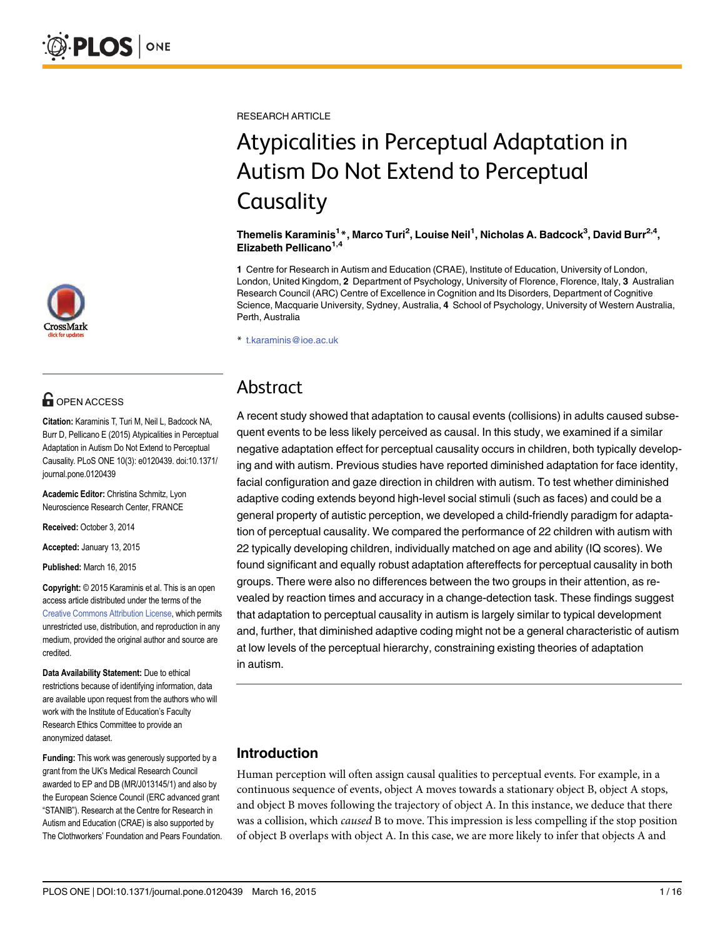

## $\blacksquare$  OPEN ACCESS

Citation: Karaminis T, Turi M, Neil L, Badcock NA, Burr D, Pellicano E (2015) Atypicalities in Perceptual Adaptation in Autism Do Not Extend to Perceptual Causality. PLoS ONE 10(3): e0120439. doi:10.1371/ journal.pone.0120439

Academic Editor: Christina Schmitz, Lyon Neuroscience Research Center, FRANCE

Received: October 3, 2014

Accepted: January 13, 2015

Published: March 16, 2015

Copyright: © 2015 Karaminis et al. This is an open access article distributed under the terms of the [Creative Commons Attribution License,](http://creativecommons.org/licenses/by/4.0/) which permits unrestricted use, distribution, and reproduction in any medium, provided the original author and source are credited.

Data Availability Statement: Due to ethical restrictions because of identifying information, data are available upon request from the authors who will work with the Institute of Education's Faculty Research Ethics Committee to provide an anonymized dataset.

Funding: This work was generously supported by a grant from the UK's Medical Research Council awarded to EP and DB (MR/J013145/1) and also by the European Science Council (ERC advanced grant "STANIB"). Research at the Centre for Research in Autism and Education (CRAE) is also supported by The Clothworkers' Foundation and Pears Foundation. RESEARCH ARTICLE

# Atypicalities in Perceptual Adaptation in Autism Do Not Extend to Perceptual **Causality**

#### Themelis Karaminis<sup>1</sup>\*, Marco Turi<sup>2</sup>, Louise Neil<sup>1</sup>, Nicholas A. Badcock<sup>3</sup>, David Burr<sup>2,4</sup>, Elizabeth Pellicano $1,4$

1 Centre for Research in Autism and Education (CRAE), Institute of Education, University of London, London, United Kingdom, 2 Department of Psychology, University of Florence, Florence, Italy, 3 Australian Research Council (ARC) Centre of Excellence in Cognition and Its Disorders, Department of Cognitive Science, Macquarie University, Sydney, Australia, 4 School of Psychology, University of Western Australia, Perth, Australia

\* t.karaminis@ioe.ac.uk

## Abstract

A recent study showed that adaptation to causal events (collisions) in adults caused subsequent events to be less likely perceived as causal. In this study, we examined if a similar negative adaptation effect for perceptual causality occurs in children, both typically developing and with autism. Previous studies have reported diminished adaptation for face identity, facial configuration and gaze direction in children with autism. To test whether diminished adaptive coding extends beyond high-level social stimuli (such as faces) and could be a general property of autistic perception, we developed a child-friendly paradigm for adaptation of perceptual causality. We compared the performance of 22 children with autism with 22 typically developing children, individually matched on age and ability (IQ scores). We found significant and equally robust adaptation aftereffects for perceptual causality in both groups. There were also no differences between the two groups in their attention, as revealed by reaction times and accuracy in a change-detection task. These findings suggest that adaptation to perceptual causality in autism is largely similar to typical development and, further, that diminished adaptive coding might not be a general characteristic of autism at low levels of the perceptual hierarchy, constraining existing theories of adaptation in autism.

### Introduction

Human perception will often assign causal qualities to perceptual events. For example, in a continuous sequence of events, object A moves towards a stationary object B, object A stops, and object B moves following the trajectory of object A. In this instance, we deduce that there was a collision, which caused B to move. This impression is less compelling if the stop position of object B overlaps with object A. In this case, we are more likely to infer that objects A and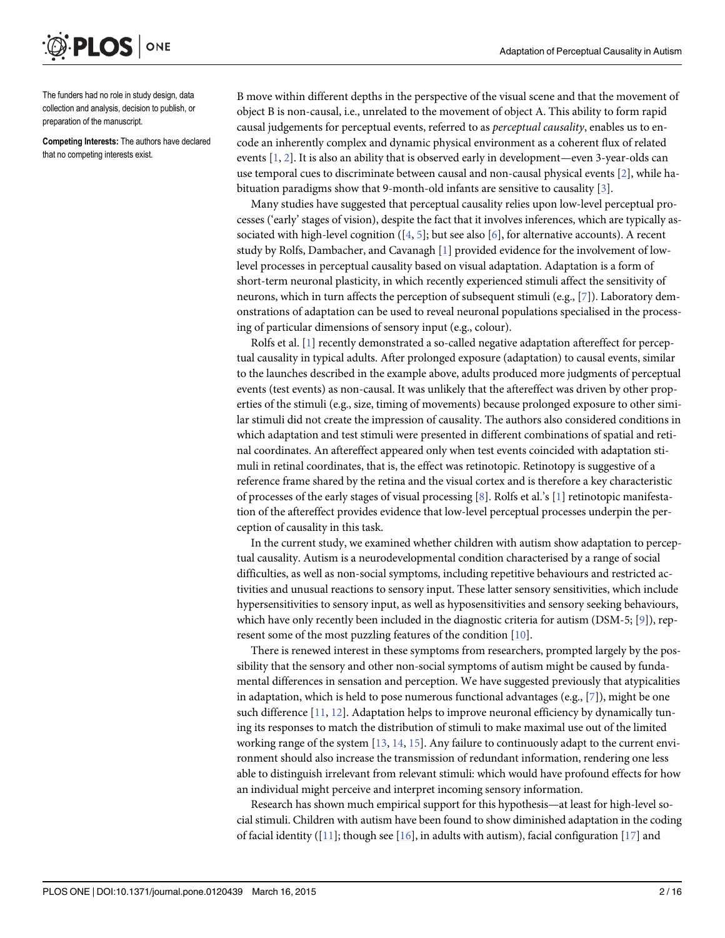<span id="page-1-0"></span>

The funders had no role in study design, data collection and analysis, decision to publish, or preparation of the manuscript.

Competing Interests: The authors have declared that no competing interests exist.

B move within different depths in the perspective of the visual scene and that the movement of object B is non-causal, i.e., unrelated to the movement of object A. This ability to form rapid causal judgements for perceptual events, referred to as *perceptual causality*, enables us to encode an inherently complex and dynamic physical environment as a coherent flux of related events [[1](#page-13-0), [2\]](#page-13-0). It is also an ability that is observed early in development—even 3-year-olds can use temporal cues to discriminate between causal and non-causal physical events [[2\]](#page-13-0), while habituation paradigms show that 9-month-old infants are sensitive to causality [[3](#page-13-0)].

Many studies have suggested that perceptual causality relies upon low-level perceptual processes ('early' stages of vision), despite the fact that it involves inferences, which are typically associated with high-level cognition ( $[4, 5]$  $[4, 5]$  $[4, 5]$  $[4, 5]$ ; but see also  $[6]$  $[6]$ , for alternative accounts). A recent study by Rolfs, Dambacher, and Cavanagh [[1](#page-13-0)] provided evidence for the involvement of lowlevel processes in perceptual causality based on visual adaptation. Adaptation is a form of short-term neuronal plasticity, in which recently experienced stimuli affect the sensitivity of neurons, which in turn affects the perception of subsequent stimuli (e.g., [\[7](#page-14-0)]). Laboratory demonstrations of adaptation can be used to reveal neuronal populations specialised in the processing of particular dimensions of sensory input (e.g., colour).

Rolfs et al. [[1](#page-13-0)] recently demonstrated a so-called negative adaptation aftereffect for perceptual causality in typical adults. After prolonged exposure (adaptation) to causal events, similar to the launches described in the example above, adults produced more judgments of perceptual events (test events) as non-causal. It was unlikely that the aftereffect was driven by other properties of the stimuli (e.g., size, timing of movements) because prolonged exposure to other similar stimuli did not create the impression of causality. The authors also considered conditions in which adaptation and test stimuli were presented in different combinations of spatial and retinal coordinates. An aftereffect appeared only when test events coincided with adaptation stimuli in retinal coordinates, that is, the effect was retinotopic. Retinotopy is suggestive of a reference frame shared by the retina and the visual cortex and is therefore a key characteristic of processes of the early stages of visual processing [[8](#page-14-0)]. Rolfs et al.'s [[1](#page-13-0)] retinotopic manifestation of the aftereffect provides evidence that low-level perceptual processes underpin the perception of causality in this task.

In the current study, we examined whether children with autism show adaptation to perceptual causality. Autism is a neurodevelopmental condition characterised by a range of social difficulties, as well as non-social symptoms, including repetitive behaviours and restricted activities and unusual reactions to sensory input. These latter sensory sensitivities, which include hypersensitivities to sensory input, as well as hyposensitivities and sensory seeking behaviours, which have only recently been included in the diagnostic criteria for autism (DSM-5; [\[9\]](#page-14-0)), represent some of the most puzzling features of the condition [[10](#page-14-0)].

There is renewed interest in these symptoms from researchers, prompted largely by the possibility that the sensory and other non-social symptoms of autism might be caused by fundamental differences in sensation and perception. We have suggested previously that atypicalities in adaptation, which is held to pose numerous functional advantages (e.g.,  $[7]$  $[7]$ ), might be one such difference [[11](#page-14-0), [12](#page-14-0)]. Adaptation helps to improve neuronal efficiency by dynamically tuning its responses to match the distribution of stimuli to make maximal use out of the limited working range of the system  $[13, 14, 15]$  $[13, 14, 15]$  $[13, 14, 15]$  $[13, 14, 15]$  $[13, 14, 15]$ . Any failure to continuously adapt to the current environment should also increase the transmission of redundant information, rendering one less able to distinguish irrelevant from relevant stimuli: which would have profound effects for how an individual might perceive and interpret incoming sensory information.

Research has shown much empirical support for this hypothesis—at least for high-level social stimuli. Children with autism have been found to show diminished adaptation in the coding of facial identity ([\[11\]](#page-14-0); though see [[16](#page-14-0)], in adults with autism), facial configuration [[17](#page-14-0)] and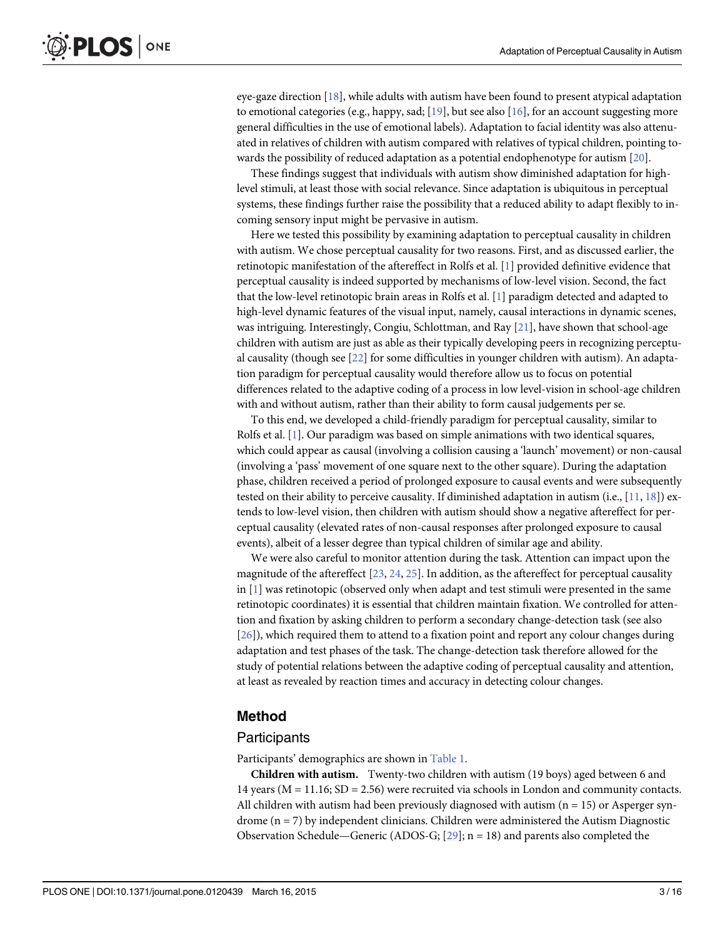<span id="page-2-0"></span>eye-gaze direction [[18](#page-14-0)], while adults with autism have been found to present atypical adaptation to emotional categories (e.g., happy, sad;  $[19]$ , but see also [\[16\]](#page-14-0), for an account suggesting more general difficulties in the use of emotional labels). Adaptation to facial identity was also attenuated in relatives of children with autism compared with relatives of typical children, pointing towards the possibility of reduced adaptation as a potential endophenotype for autism [[20](#page-14-0)].

These findings suggest that individuals with autism show diminished adaptation for highlevel stimuli, at least those with social relevance. Since adaptation is ubiquitous in perceptual systems, these findings further raise the possibility that a reduced ability to adapt flexibly to incoming sensory input might be pervasive in autism.

Here we tested this possibility by examining adaptation to perceptual causality in children with autism. We chose perceptual causality for two reasons. First, and as discussed earlier, the retinotopic manifestation of the aftereffect in Rolfs et al. [\[1](#page-13-0)] provided definitive evidence that perceptual causality is indeed supported by mechanisms of low-level vision. Second, the fact that the low-level retinotopic brain areas in Rolfs et al. [\[1\]](#page-13-0) paradigm detected and adapted to high-level dynamic features of the visual input, namely, causal interactions in dynamic scenes, was intriguing. Interestingly, Congiu, Schlottman, and Ray [\[21](#page-14-0)], have shown that school-age children with autism are just as able as their typically developing peers in recognizing perceptual causality (though see [[22](#page-14-0)] for some difficulties in younger children with autism). An adaptation paradigm for perceptual causality would therefore allow us to focus on potential differences related to the adaptive coding of a process in low level-vision in school-age children with and without autism, rather than their ability to form causal judgements per se.

To this end, we developed a child-friendly paradigm for perceptual causality, similar to Rolfs et al.  $[1]$  $[1]$  $[1]$ . Our paradigm was based on simple animations with two identical squares, which could appear as causal (involving a collision causing a 'launch' movement) or non-causal (involving a 'pass' movement of one square next to the other square). During the adaptation phase, children received a period of prolonged exposure to causal events and were subsequently tested on their ability to perceive causality. If diminished adaptation in autism (i.e.,  $[11, 18]$  $[11, 18]$  $[11, 18]$ ) extends to low-level vision, then children with autism should show a negative aftereffect for perceptual causality (elevated rates of non-causal responses after prolonged exposure to causal events), albeit of a lesser degree than typical children of similar age and ability.

We were also careful to monitor attention during the task. Attention can impact upon the magnitude of the aftereffect  $[23, 24, 25]$  $[23, 24, 25]$  $[23, 24, 25]$  $[23, 24, 25]$  $[23, 24, 25]$  $[23, 24, 25]$ . In addition, as the aftereffect for perceptual causality in  $[1]$  $[1]$  $[1]$  was retinotopic (observed only when adapt and test stimuli were presented in the same retinotopic coordinates) it is essential that children maintain fixation. We controlled for attention and fixation by asking children to perform a secondary change-detection task (see also [\[26](#page-14-0)]), which required them to attend to a fixation point and report any colour changes during adaptation and test phases of the task. The change-detection task therefore allowed for the study of potential relations between the adaptive coding of perceptual causality and attention, at least as revealed by reaction times and accuracy in detecting colour changes.

#### Method

#### **Participants**

Participants' demographics are shown in [Table 1.](#page-3-0)

Children with autism. Twenty-two children with autism (19 boys) aged between 6 and 14 years ( $M = 11.16$ ;  $SD = 2.56$ ) were recruited via schools in London and community contacts. All children with autism had been previously diagnosed with autism  $(n = 15)$  or Asperger syndrome (n = 7) by independent clinicians. Children were administered the Autism Diagnostic Observation Schedule—Generic (ADOS-G;  $[29]$ ; n = 18) and parents also completed the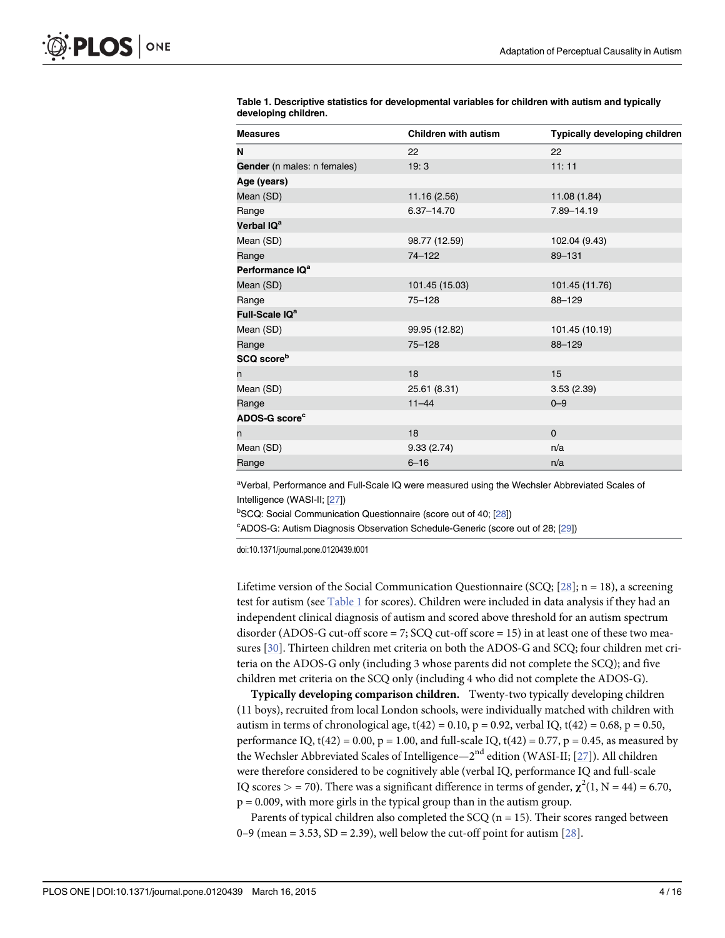| <b>Measures</b>             | <b>Children with autism</b> | Typically developing children |
|-----------------------------|-----------------------------|-------------------------------|
| N                           | 22                          | 22                            |
| Gender (n males: n females) | 19:3                        | 11:11                         |
| Age (years)                 |                             |                               |
| Mean (SD)                   | 11.16 (2.56)                | 11.08 (1.84)                  |
| Range                       | $6.37 - 14.70$              | 7.89-14.19                    |
| Verbal IQ <sup>a</sup>      |                             |                               |
| Mean (SD)                   | 98.77 (12.59)               | 102.04 (9.43)                 |
| Range                       | 74-122                      | 89-131                        |
| Performance IQ <sup>a</sup> |                             |                               |
| Mean (SD)                   | 101.45 (15.03)              | 101.45 (11.76)                |
| Range                       | $75 - 128$                  | 88-129                        |
| Full-Scale IQ <sup>a</sup>  |                             |                               |
| Mean (SD)                   | 99.95 (12.82)               | 101.45 (10.19)                |
| Range                       | $75 - 128$                  | $88 - 129$                    |
| SCQ score <sup>b</sup>      |                             |                               |
| n                           | 18                          | 15                            |
| Mean (SD)                   | 25.61 (8.31)                | 3.53(2.39)                    |
| Range                       | $11 - 44$                   | $0 - 9$                       |
| ADOS-G score <sup>c</sup>   |                             |                               |
| n                           | 18                          | $\Omega$                      |
| Mean (SD)                   | 9.33(2.74)                  | n/a                           |
| Range                       | $6 - 16$                    | n/a                           |

<span id="page-3-0"></span>[Table 1.](#page-2-0) Descriptive statistics for developmental variables for children with autism and typically developing children.

<sup>a</sup>Verbal, Performance and Full-Scale IQ were measured using the Wechsler Abbreviated Scales of Intelligence (WASI-II; [\[27](#page-14-0)])

<sup>b</sup>SCQ: Social Communication Questionnaire (score out of 40; [[28\]](#page-14-0))

<sup>c</sup>ADOS-G: Autism Diagnosis Observation Schedule-Generic (score out of 28; [\[29\]](#page-14-0))

doi:10.1371/journal.pone.0120439.t001

Lifetime version of the Social Communication Questionnaire (SCQ;  $[28]$  $[28]$  $[28]$ ; n = 18), a screening test for autism (see Table 1 for scores). Children were included in data analysis if they had an independent clinical diagnosis of autism and scored above threshold for an autism spectrum disorder (ADOS-G cut-off score  $= 7$ ; SCQ cut-off score  $= 15$ ) in at least one of these two measures [[30\]](#page-15-0). Thirteen children met criteria on both the ADOS-G and SCQ; four children met criteria on the ADOS-G only (including 3 whose parents did not complete the SCQ); and five children met criteria on the SCQ only (including 4 who did not complete the ADOS-G).

Typically developing comparison children. Twenty-two typically developing children (11 boys), recruited from local London schools, were individually matched with children with autism in terms of chronological age,  $t(42) = 0.10$ ,  $p = 0.92$ , verbal IQ,  $t(42) = 0.68$ ,  $p = 0.50$ , performance IQ,  $t(42) = 0.00$ ,  $p = 1.00$ , and full-scale IQ,  $t(42) = 0.77$ ,  $p = 0.45$ , as measured by the Wechsler Abbreviated Scales of Intelligence— $2<sup>nd</sup>$  edition (WASI-II; [[27](#page-14-0)]). All children were therefore considered to be cognitively able (verbal IQ, performance IQ and full-scale IQ scores  $>$  = 70). There was a significant difference in terms of gender,  $\chi^2(1, N = 44)$  = 6.70,  $p = 0.009$ , with more girls in the typical group than in the autism group.

Parents of typical children also completed the  $SCQ$  (n = 15). Their scores ranged between 0–9 (mean = 3.53, SD = 2.39), well below the cut-off point for autism  $[28]$  $[28]$ .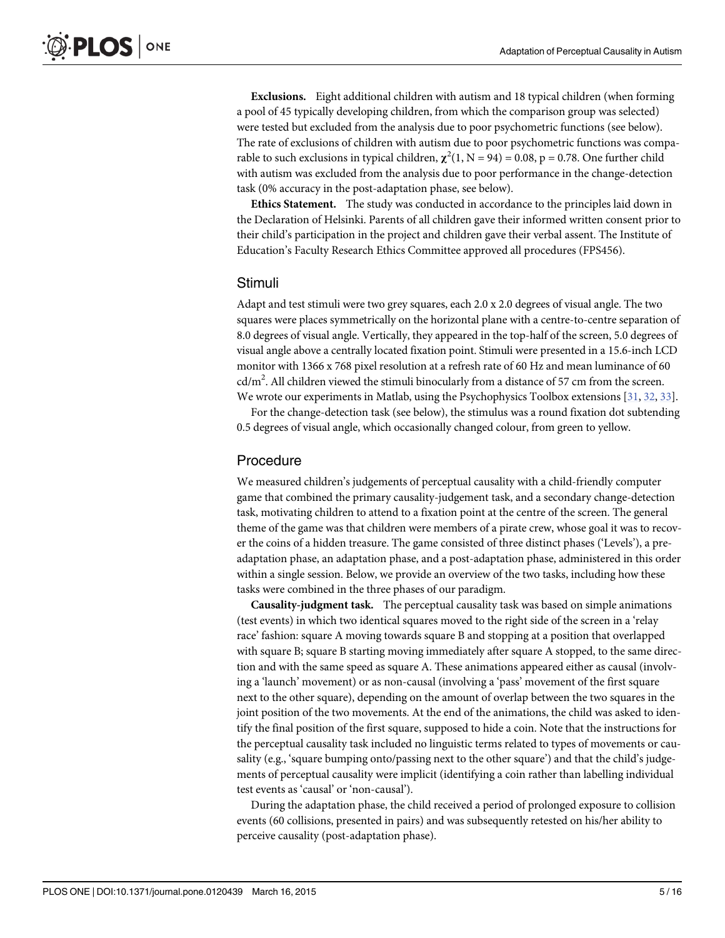<span id="page-4-0"></span>Exclusions. Eight additional children with autism and 18 typical children (when forming a pool of 45 typically developing children, from which the comparison group was selected) were tested but excluded from the analysis due to poor psychometric functions (see below). The rate of exclusions of children with autism due to poor psychometric functions was comparable to such exclusions in typical children,  $\chi^2(1, N = 94) = 0.08$ , p = 0.78. One further child with autism was excluded from the analysis due to poor performance in the change-detection task (0% accuracy in the post-adaptation phase, see below).

Ethics Statement. The study was conducted in accordance to the principles laid down in the Declaration of Helsinki. Parents of all children gave their informed written consent prior to their child's participation in the project and children gave their verbal assent. The Institute of Education's Faculty Research Ethics Committee approved all procedures (FPS456).

#### Stimuli

Adapt and test stimuli were two grey squares, each 2.0 x 2.0 degrees of visual angle. The two squares were places symmetrically on the horizontal plane with a centre-to-centre separation of 8.0 degrees of visual angle. Vertically, they appeared in the top-half of the screen, 5.0 degrees of visual angle above a centrally located fixation point. Stimuli were presented in a 15.6-inch LCD monitor with 1366 x 768 pixel resolution at a refresh rate of 60 Hz and mean luminance of 60  $\text{cd/m}^2$ . All children viewed the stimuli binocularly from a distance of 57 cm from the screen. We wrote our experiments in Matlab, using the Psychophysics Toolbox extensions [[31](#page-15-0), [32](#page-15-0), [33](#page-15-0)].

For the change-detection task (see below), the stimulus was a round fixation dot subtending 0.5 degrees of visual angle, which occasionally changed colour, from green to yellow.

#### Procedure

We measured children's judgements of perceptual causality with a child-friendly computer game that combined the primary causality-judgement task, and a secondary change-detection task, motivating children to attend to a fixation point at the centre of the screen. The general theme of the game was that children were members of a pirate crew, whose goal it was to recover the coins of a hidden treasure. The game consisted of three distinct phases ('Levels'), a preadaptation phase, an adaptation phase, and a post-adaptation phase, administered in this order within a single session. Below, we provide an overview of the two tasks, including how these tasks were combined in the three phases of our paradigm.

Causality-judgment task. The perceptual causality task was based on simple animations (test events) in which two identical squares moved to the right side of the screen in a 'relay race' fashion: square A moving towards square B and stopping at a position that overlapped with square B; square B starting moving immediately after square A stopped, to the same direction and with the same speed as square A. These animations appeared either as causal (involving a 'launch' movement) or as non-causal (involving a 'pass' movement of the first square next to the other square), depending on the amount of overlap between the two squares in the joint position of the two movements. At the end of the animations, the child was asked to identify the final position of the first square, supposed to hide a coin. Note that the instructions for the perceptual causality task included no linguistic terms related to types of movements or causality (e.g., 'square bumping onto/passing next to the other square') and that the child's judgements of perceptual causality were implicit (identifying a coin rather than labelling individual test events as 'causal' or 'non-causal').

During the adaptation phase, the child received a period of prolonged exposure to collision events (60 collisions, presented in pairs) and was subsequently retested on his/her ability to perceive causality (post-adaptation phase).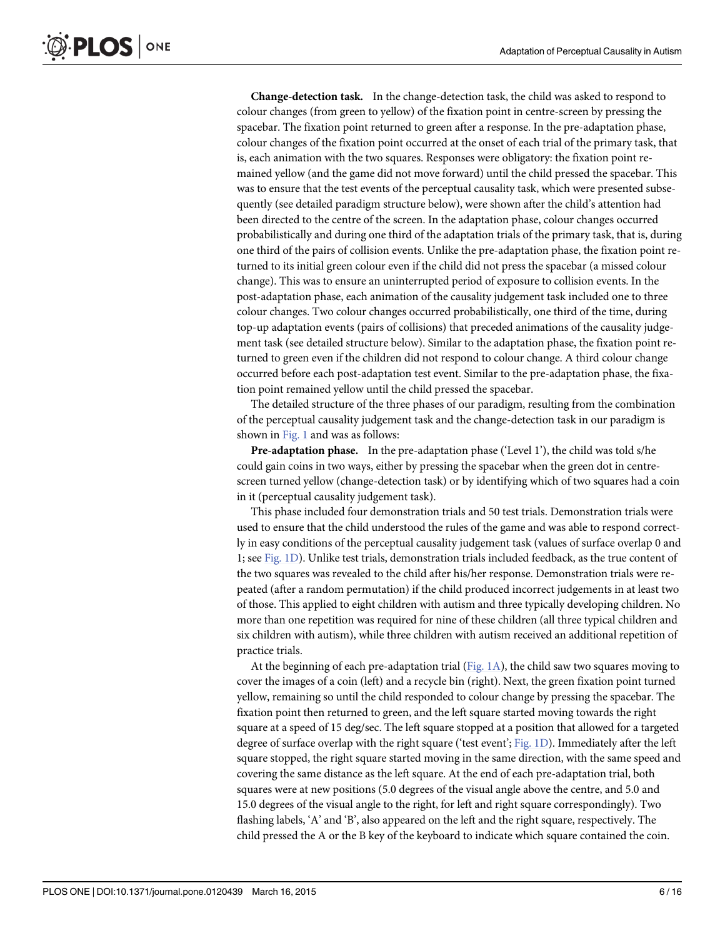<span id="page-5-0"></span>Change-detection task. In the change-detection task, the child was asked to respond to colour changes (from green to yellow) of the fixation point in centre-screen by pressing the spacebar. The fixation point returned to green after a response. In the pre-adaptation phase, colour changes of the fixation point occurred at the onset of each trial of the primary task, that is, each animation with the two squares. Responses were obligatory: the fixation point remained yellow (and the game did not move forward) until the child pressed the spacebar. This was to ensure that the test events of the perceptual causality task, which were presented subsequently (see detailed paradigm structure below), were shown after the child's attention had been directed to the centre of the screen. In the adaptation phase, colour changes occurred probabilistically and during one third of the adaptation trials of the primary task, that is, during one third of the pairs of collision events. Unlike the pre-adaptation phase, the fixation point returned to its initial green colour even if the child did not press the spacebar (a missed colour change). This was to ensure an uninterrupted period of exposure to collision events. In the post-adaptation phase, each animation of the causality judgement task included one to three colour changes. Two colour changes occurred probabilistically, one third of the time, during top-up adaptation events (pairs of collisions) that preceded animations of the causality judgement task (see detailed structure below). Similar to the adaptation phase, the fixation point returned to green even if the children did not respond to colour change. A third colour change occurred before each post-adaptation test event. Similar to the pre-adaptation phase, the fixation point remained yellow until the child pressed the spacebar.

The detailed structure of the three phases of our paradigm, resulting from the combination of the perceptual causality judgement task and the change-detection task in our paradigm is shown in [Fig. 1](#page-6-0) and was as follows:

Pre-adaptation phase. In the pre-adaptation phase ('Level 1'), the child was told s/he could gain coins in two ways, either by pressing the spacebar when the green dot in centrescreen turned yellow (change-detection task) or by identifying which of two squares had a coin in it (perceptual causality judgement task).

This phase included four demonstration trials and 50 test trials. Demonstration trials were used to ensure that the child understood the rules of the game and was able to respond correctly in easy conditions of the perceptual causality judgement task (values of surface overlap 0 and 1; see [Fig. 1D](#page-6-0)). Unlike test trials, demonstration trials included feedback, as the true content of the two squares was revealed to the child after his/her response. Demonstration trials were repeated (after a random permutation) if the child produced incorrect judgements in at least two of those. This applied to eight children with autism and three typically developing children. No more than one repetition was required for nine of these children (all three typical children and six children with autism), while three children with autism received an additional repetition of practice trials.

At the beginning of each pre-adaptation trial [\(Fig. 1A\)](#page-6-0), the child saw two squares moving to cover the images of a coin (left) and a recycle bin (right). Next, the green fixation point turned yellow, remaining so until the child responded to colour change by pressing the spacebar. The fixation point then returned to green, and the left square started moving towards the right square at a speed of 15 deg/sec. The left square stopped at a position that allowed for a targeted degree of surface overlap with the right square ('test event'; [Fig. 1D](#page-6-0)). Immediately after the left square stopped, the right square started moving in the same direction, with the same speed and covering the same distance as the left square. At the end of each pre-adaptation trial, both squares were at new positions (5.0 degrees of the visual angle above the centre, and 5.0 and 15.0 degrees of the visual angle to the right, for left and right square correspondingly). Two flashing labels, 'A' and 'B', also appeared on the left and the right square, respectively. The child pressed the A or the B key of the keyboard to indicate which square contained the coin.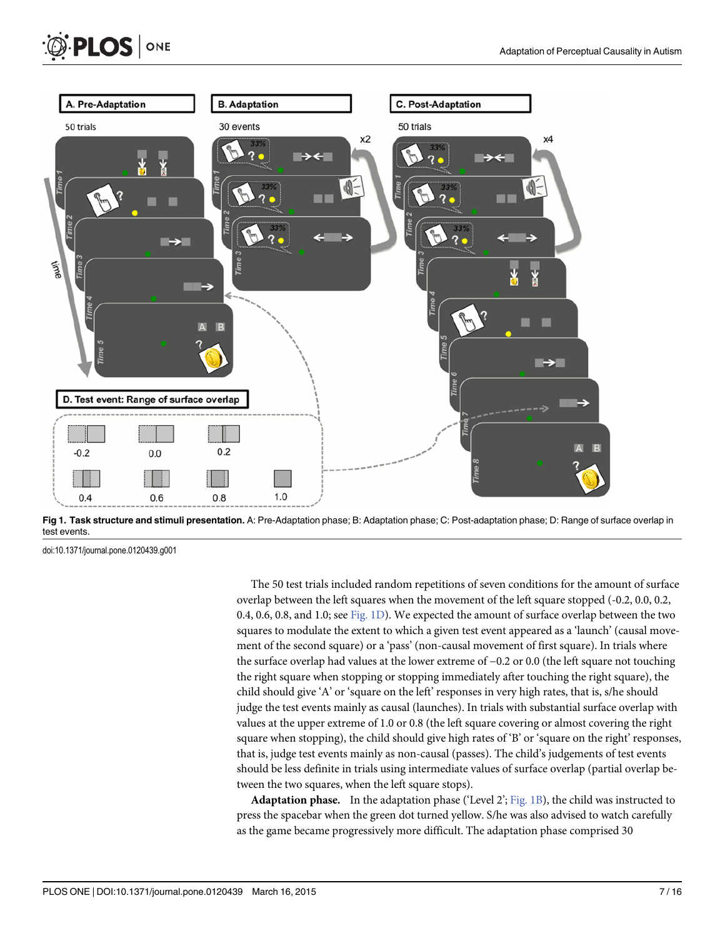<span id="page-6-0"></span>

[Fig 1. T](#page-5-0)ask structure and stimuli presentation. A: Pre-Adaptation phase; B: Adaptation phase; C: Post-adaptation phase; D: Range of surface overlap in test events.

doi:10.1371/journal.pone.0120439.g001

ONE

**PLOS I** 

The 50 test trials included random repetitions of seven conditions for the amount of surface overlap between the left squares when the movement of the left square stopped (-0.2, 0.0, 0.2, 0.4, 0.6, 0.8, and 1.0; see Fig. 1D). We expected the amount of surface overlap between the two squares to modulate the extent to which a given test event appeared as a 'launch' (causal movement of the second square) or a 'pass' (non-causal movement of first square). In trials where the surface overlap had values at the lower extreme of −0.2 or 0.0 (the left square not touching the right square when stopping or stopping immediately after touching the right square), the child should give 'A' or 'square on the left' responses in very high rates, that is, s/he should judge the test events mainly as causal (launches). In trials with substantial surface overlap with values at the upper extreme of 1.0 or 0.8 (the left square covering or almost covering the right square when stopping), the child should give high rates of 'B' or 'square on the right' responses, that is, judge test events mainly as non-causal (passes). The child's judgements of test events should be less definite in trials using intermediate values of surface overlap (partial overlap between the two squares, when the left square stops).

**Adaptation phase.** In the adaptation phase ('Level  $2$ '; Fig. 1B), the child was instructed to press the spacebar when the green dot turned yellow. S/he was also advised to watch carefully as the game became progressively more difficult. The adaptation phase comprised 30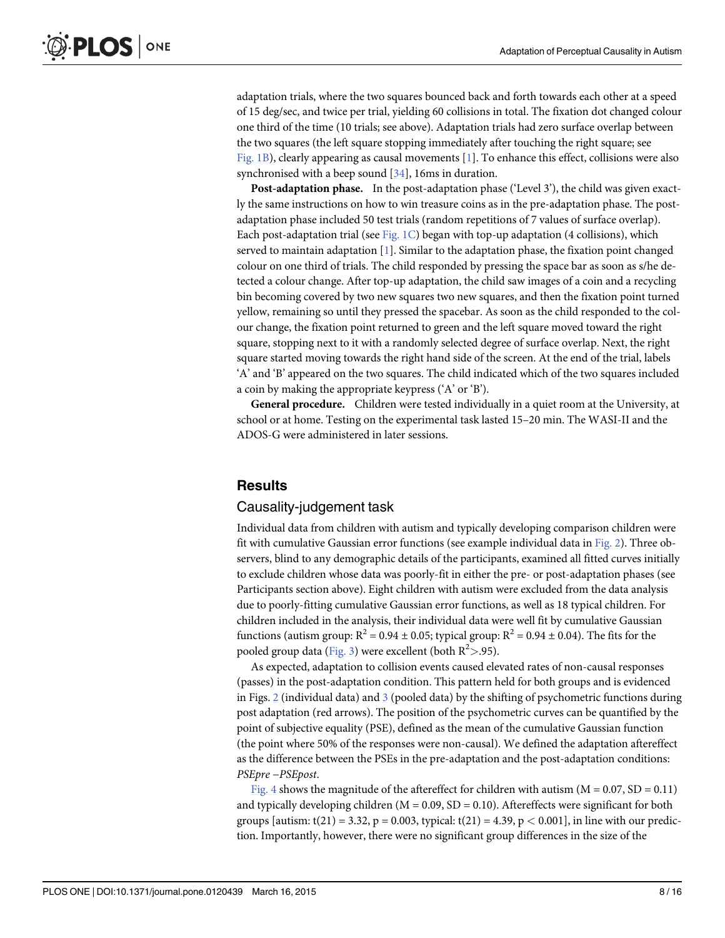<span id="page-7-0"></span>adaptation trials, where the two squares bounced back and forth towards each other at a speed of 15 deg/sec, and twice per trial, yielding 60 collisions in total. The fixation dot changed colour one third of the time (10 trials; see above). Adaptation trials had zero surface overlap between the two squares (the left square stopping immediately after touching the right square; see [Fig. 1B](#page-6-0)), clearly appearing as causal movements [[1\]](#page-13-0). To enhance this effect, collisions were also synchronised with a beep sound [\[34](#page-15-0)], 16ms in duration.

Post-adaptation phase. In the post-adaptation phase ('Level 3'), the child was given exactly the same instructions on how to win treasure coins as in the pre-adaptation phase. The postadaptation phase included 50 test trials (random repetitions of 7 values of surface overlap). Each post-adaptation trial (see Fig.  $1C$ ) began with top-up adaptation (4 collisions), which served to maintain adaptation [\[1](#page-13-0)]. Similar to the adaptation phase, the fixation point changed colour on one third of trials. The child responded by pressing the space bar as soon as s/he detected a colour change. After top-up adaptation, the child saw images of a coin and a recycling bin becoming covered by two new squares two new squares, and then the fixation point turned yellow, remaining so until they pressed the spacebar. As soon as the child responded to the colour change, the fixation point returned to green and the left square moved toward the right square, stopping next to it with a randomly selected degree of surface overlap. Next, the right square started moving towards the right hand side of the screen. At the end of the trial, labels 'A' and 'B' appeared on the two squares. The child indicated which of the two squares included a coin by making the appropriate keypress ('A' or 'B').

General procedure. Children were tested individually in a quiet room at the University, at school or at home. Testing on the experimental task lasted 15–20 min. The WASI-II and the ADOS-G were administered in later sessions.

#### **Results**

#### Causality-judgement task

Individual data from children with autism and typically developing comparison children were fit with cumulative Gaussian error functions (see example individual data in [Fig. 2](#page-8-0)). Three observers, blind to any demographic details of the participants, examined all fitted curves initially to exclude children whose data was poorly-fit in either the pre- or post-adaptation phases (see Participants section above). Eight children with autism were excluded from the data analysis due to poorly-fitting cumulative Gaussian error functions, as well as 18 typical children. For children included in the analysis, their individual data were well fit by cumulative Gaussian functions (autism group:  $R^2 = 0.94 \pm 0.05$ ; typical group:  $R^2 = 0.94 \pm 0.04$ ). The fits for the pooled group data ( $\underline{\mathrm{Fig. 3}}$  $\underline{\mathrm{Fig. 3}}$  $\underline{\mathrm{Fig. 3}}$ ) were excellent (both  $\mathrm{R}^2$  > .95).

As expected, adaptation to collision events caused elevated rates of non-causal responses (passes) in the post-adaptation condition. This pattern held for both groups and is evidenced in Figs. [2](#page-8-0) (individual data) and  $\frac{3}{5}$  $\frac{3}{5}$  $\frac{3}{5}$  (pooled data) by the shifting of psychometric functions during post adaptation (red arrows). The position of the psychometric curves can be quantified by the point of subjective equality (PSE), defined as the mean of the cumulative Gaussian function (the point where 50% of the responses were non-causal). We defined the adaptation aftereffect as the difference between the PSEs in the pre-adaptation and the post-adaptation conditions: PSEpre −PSEpost.

[Fig. 4](#page-9-0) shows the magnitude of the aftereffect for children with autism  $(M = 0.07, SD = 0.11)$ and typically developing children  $(M = 0.09, SD = 0.10)$ . Aftereffects were significant for both groups [autism:  $t(21) = 3.32$ ,  $p = 0.003$ , typical:  $t(21) = 4.39$ ,  $p < 0.001$ ], in line with our prediction. Importantly, however, there were no significant group differences in the size of the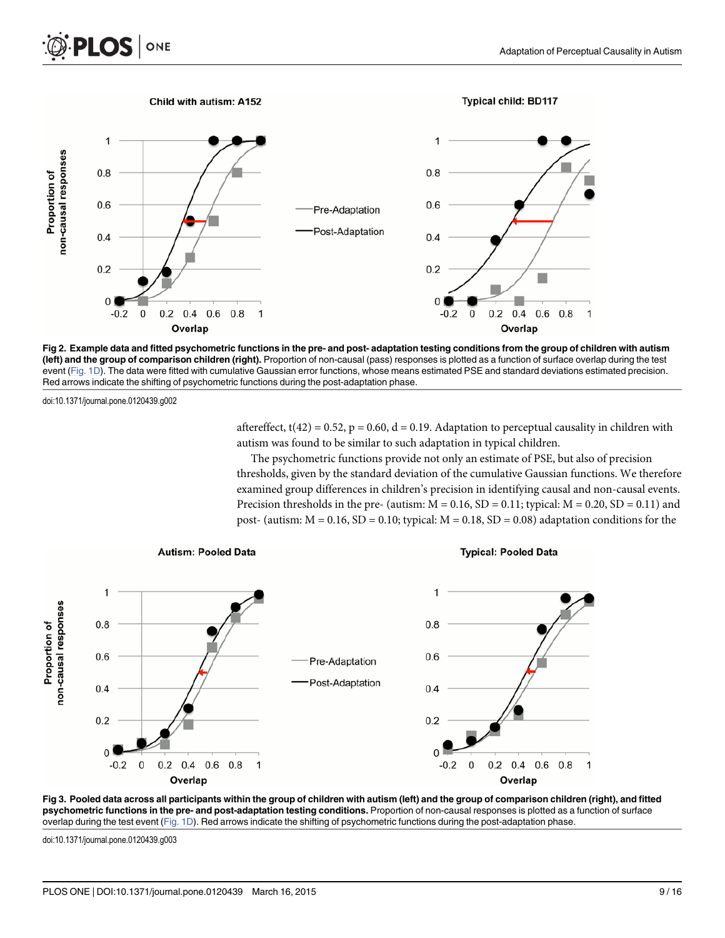<span id="page-8-0"></span>



[Fig 2. E](#page-7-0)xample data and fitted psychometric functions in the pre- and post- adaptation testing conditions from the group of children with autism (left) and the group of comparison children (right). Proportion of non-causal (pass) responses is plotted as a function of surface overlap during the test event ([Fig. 1D\)](#page-6-0). The data were fitted with cumulative Gaussian error functions, whose means estimated PSE and standard deviations estimated precision. Red arrows indicate the shifting of psychometric functions during the post-adaptation phase.

doi:10.1371/journal.pone.0120439.g002

aftereffect,  $t(42) = 0.52$ ,  $p = 0.60$ ,  $d = 0.19$ . Adaptation to perceptual causality in children with autism was found to be similar to such adaptation in typical children.

The psychometric functions provide not only an estimate of PSE, but also of precision thresholds, given by the standard deviation of the cumulative Gaussian functions. We therefore examined group differences in children's precision in identifying causal and non-causal events. Precision thresholds in the pre- (autism:  $M = 0.16$ ,  $SD = 0.11$ ; typical:  $M = 0.20$ ,  $SD = 0.11$ ) and post- (autism:  $M = 0.16$ ,  $SD = 0.10$ ; typical:  $M = 0.18$ ,  $SD = 0.08$ ) adaptation conditions for the





doi:10.1371/journal.pone.0120439.g003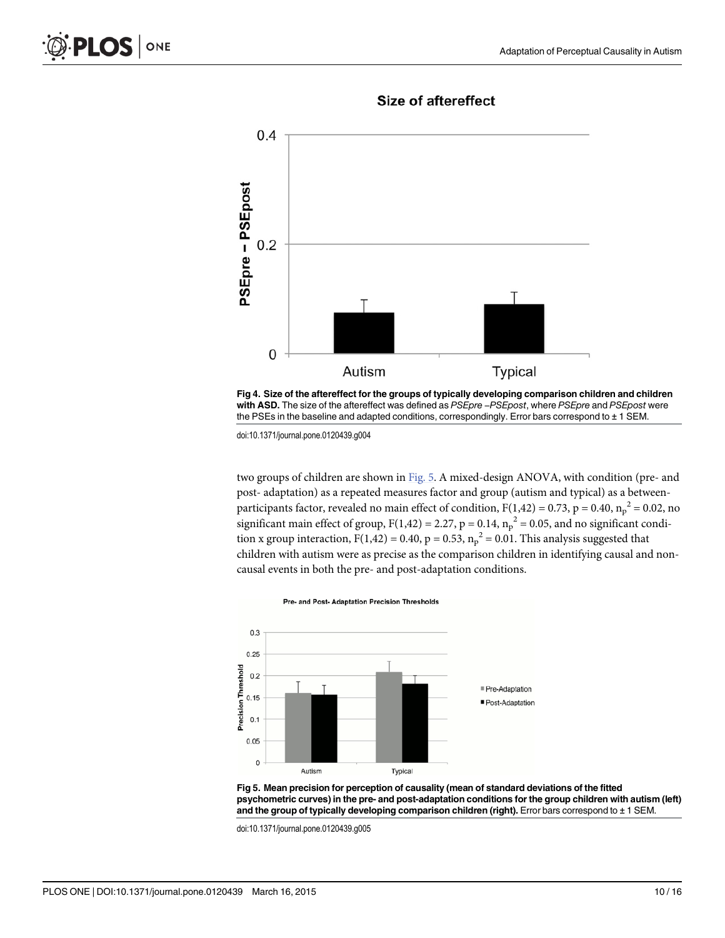<span id="page-9-0"></span>

**Size of aftereffect** 

[Fig 4. S](#page-7-0)ize of the aftereffect for the groups of typically developing comparison children and children y Procar<br>Fig 4. Size of the aftereffect for the groups of typically developing comparison children and childre<br>with ASD. The size of the aftereffect was defined as *PSEpre –PSEpost,* where *PSEpre* and *PSEpost* were the PSEs in the baseline and adapted conditions, correspondingly. Error bars correspond to ± 1 SEM.

doi:10.1371/journal.pone.0120439.g004

two groups of children are shown in Fig. 5. A mixed-design ANOVA, with condition (pre- and post- adaptation) as a repeated measures factor and group (autism and typical) as a betweenparticipants factor, revealed no main effect of condition,  $F(1,42) = 0.73$ ,  $p = 0.40$ ,  $n_p^2 = 0.02$ , no significant main effect of group,  $F(1,42) = 2.27$ ,  $p = 0.14$ ,  $n_p^2 = 0.05$ , and no significant condition x group interaction, F(1,42) = 0.40, p = 0.53,  $n_p^2$  = 0.01. This analysis suggested that children with autism were as precise as the comparison children in identifying causal and noncausal events in both the pre- and post-adaptation conditions.



Fig 5. Mean precision for perception of causality (mean of standard deviations of the fitted psychometric curves) in the pre- and post-adaptation conditions for the group children with autism (left) and the group of typically developing comparison children (right). Error bars correspond to ± 1 SEM.

doi:10.1371/journal.pone.0120439.g005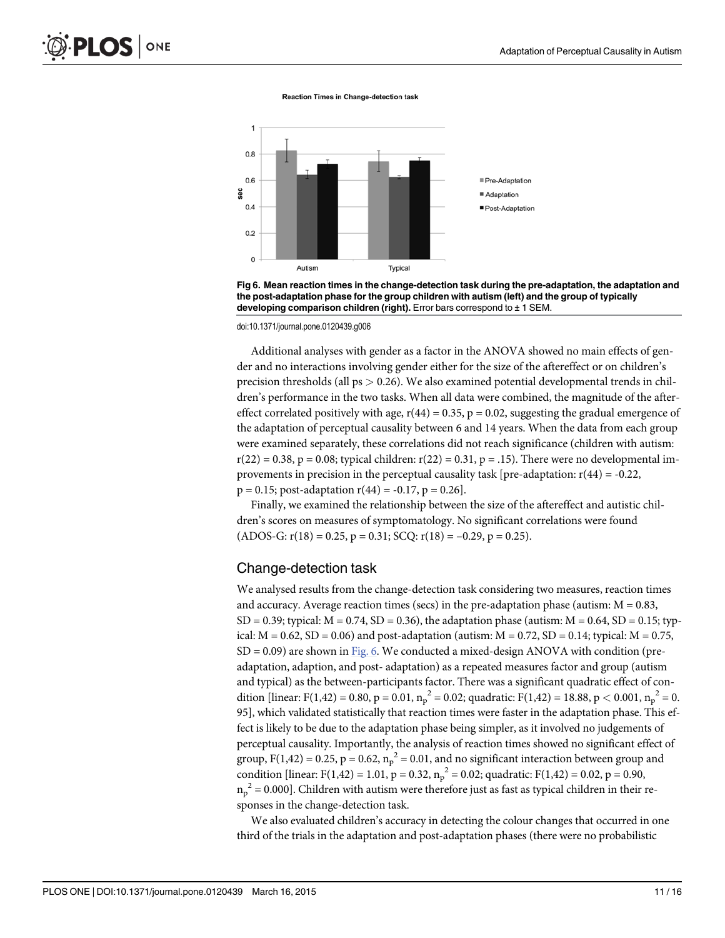Reaction Times in Change-detection task



Fig 6. Mean reaction times in the change-detection task during the pre-adaptation, the adaptation and the post-adaptation phase for the group children with autism (left) and the group of typically developing comparison children (right). Error bars correspond to  $\pm$  1 SEM.

doi:10.1371/journal.pone.0120439.g006

Additional analyses with gender as a factor in the ANOVA showed no main effects of gender and no interactions involving gender either for the size of the aftereffect or on children's precision thresholds (all  $ps > 0.26$ ). We also examined potential developmental trends in children's performance in the two tasks. When all data were combined, the magnitude of the aftereffect correlated positively with age,  $r(44) = 0.35$ ,  $p = 0.02$ , suggesting the gradual emergence of the adaptation of perceptual causality between 6 and 14 years. When the data from each group were examined separately, these correlations did not reach significance (children with autism:  $r(22) = 0.38$ , p = 0.08; typical children:  $r(22) = 0.31$ , p = .15). There were no developmental improvements in precision in the perceptual causality task [pre-adaptation:  $r(44) = -0.22$ ,  $p = 0.15$ ; post-adaptation  $r(44) = -0.17$ ,  $p = 0.26$ .

Finally, we examined the relationship between the size of the aftereffect and autistic children's scores on measures of symptomatology. No significant correlations were found  $(ADOS-G: r(18) = 0.25, p = 0.31; SCQ: r(18) = -0.29, p = 0.25).$ 

#### Change-detection task

We analysed results from the change-detection task considering two measures, reaction times and accuracy. Average reaction times (secs) in the pre-adaptation phase (autism:  $M = 0.83$ ,  $SD = 0.39$ ; typical:  $M = 0.74$ ,  $SD = 0.36$ ), the adaptation phase (autism:  $M = 0.64$ ,  $SD = 0.15$ ; typical:  $M = 0.62$ ,  $SD = 0.06$ ) and post-adaptation (autism:  $M = 0.72$ ,  $SD = 0.14$ ; typical:  $M = 0.75$ ,  $SD = 0.09$ ) are shown in Fig. 6. We conducted a mixed-design ANOVA with condition (preadaptation, adaption, and post- adaptation) as a repeated measures factor and group (autism and typical) as the between-participants factor. There was a significant quadratic effect of condition [linear: F(1,42) = 0.80, p = 0.01,  $n_p^2$  = 0.02; quadratic: F(1,42) = 18.88, p < 0.001,  $n_p^2$  = 0. 95], which validated statistically that reaction times were faster in the adaptation phase. This effect is likely to be due to the adaptation phase being simpler, as it involved no judgements of perceptual causality. Importantly, the analysis of reaction times showed no significant effect of group, F(1,42) = 0.25, p = 0.62,  $n_p^2$  = 0.01, and no significant interaction between group and condition [linear: F(1,42) = 1.01, p = 0.32,  $n_p^2 = 0.02$ ; quadratic: F(1,42) = 0.02, p = 0.90,  $n_p^2$  = 0.000]. Children with autism were therefore just as fast as typical children in their responses in the change-detection task.

We also evaluated children's accuracy in detecting the colour changes that occurred in one third of the trials in the adaptation and post-adaptation phases (there were no probabilistic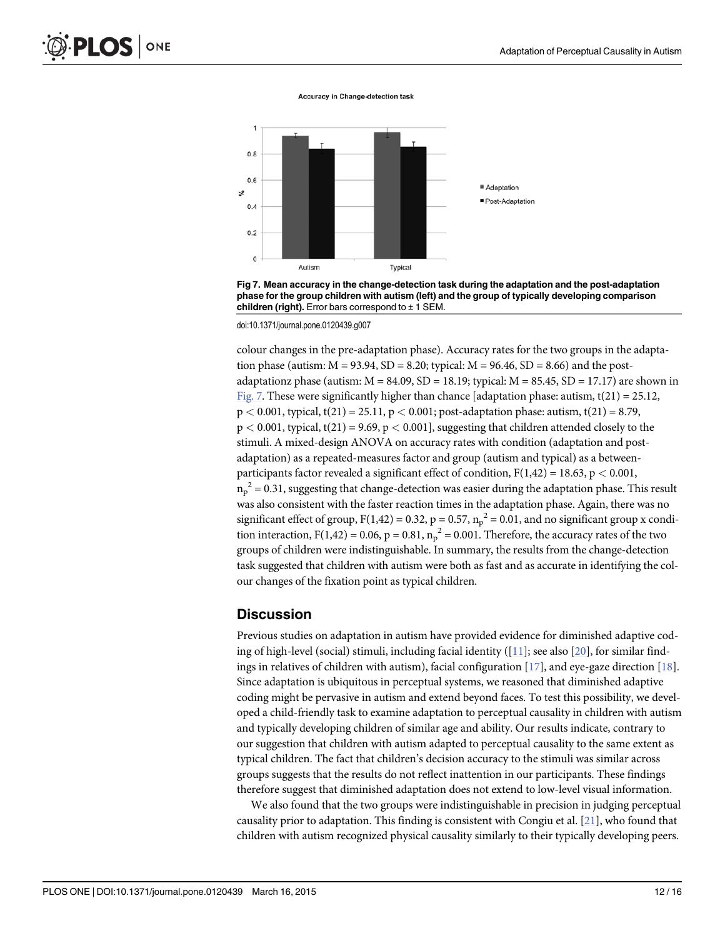**Accuracy in Change-detection task** 



Fig 7. Mean accuracy in the change-detection task during the adaptation and the post-adaptation phase for the group children with autism (left) and the group of typically developing comparison children (right). Error bars correspond to  $\pm$  1 SEM.

doi:10.1371/journal.pone.0120439.g007

colour changes in the pre-adaptation phase). Accuracy rates for the two groups in the adaptation phase (autism:  $M = 93.94$ ,  $SD = 8.20$ ; typical:  $M = 96.46$ ,  $SD = 8.66$ ) and the postadaptationz phase (autism:  $M = 84.09$ ,  $SD = 18.19$ ; typical:  $M = 85.45$ ,  $SD = 17.17$ ) are shown in Fig. 7. These were significantly higher than chance [adaptation phase: autism,  $t(21) = 25.12$ ,  $p < 0.001$ , typical, t(21) = 25.11,  $p < 0.001$ ; post-adaptation phase: autism, t(21) = 8.79,  $p < 0.001$ , typical, t(21) = 9.69,  $p < 0.001$ ], suggesting that children attended closely to the stimuli. A mixed-design ANOVA on accuracy rates with condition (adaptation and postadaptation) as a repeated-measures factor and group (autism and typical) as a betweenparticipants factor revealed a significant effect of condition,  $F(1,42) = 18.63$ ,  $p < 0.001$ ,  $n_{\mathrm{p}}^{\mathrm{-2}}$  = 0.31, suggesting that change-detection was easier during the adaptation phase. This result was also consistent with the faster reaction times in the adaptation phase. Again, there was no significant effect of group, F(1,42) = 0.32, p = 0.57,  $n_p^2$  = 0.01, and no significant group x condition interaction, F(1,42) = 0.06, p = 0.81,  $n_p^2$  = 0.001. Therefore, the accuracy rates of the two groups of children were indistinguishable. In summary, the results from the change-detection task suggested that children with autism were both as fast and as accurate in identifying the colour changes of the fixation point as typical children.

#### **Discussion**

Previous studies on adaptation in autism have provided evidence for diminished adaptive coding of high-level (social) stimuli, including facial identity ( $[11]$  $[11]$  $[11]$ ; see also  $[20]$  $[20]$  $[20]$ , for similar findings in relatives of children with autism), facial configuration  $[17]$  $[17]$  $[17]$ , and eye-gaze direction  $[18]$  $[18]$  $[18]$ . Since adaptation is ubiquitous in perceptual systems, we reasoned that diminished adaptive coding might be pervasive in autism and extend beyond faces. To test this possibility, we developed a child-friendly task to examine adaptation to perceptual causality in children with autism and typically developing children of similar age and ability. Our results indicate, contrary to our suggestion that children with autism adapted to perceptual causality to the same extent as typical children. The fact that children's decision accuracy to the stimuli was similar across groups suggests that the results do not reflect inattention in our participants. These findings therefore suggest that diminished adaptation does not extend to low-level visual information.

We also found that the two groups were indistinguishable in precision in judging perceptual causality prior to adaptation. This finding is consistent with Congiu et al.  $[21]$  $[21]$  $[21]$ , who found that children with autism recognized physical causality similarly to their typically developing peers.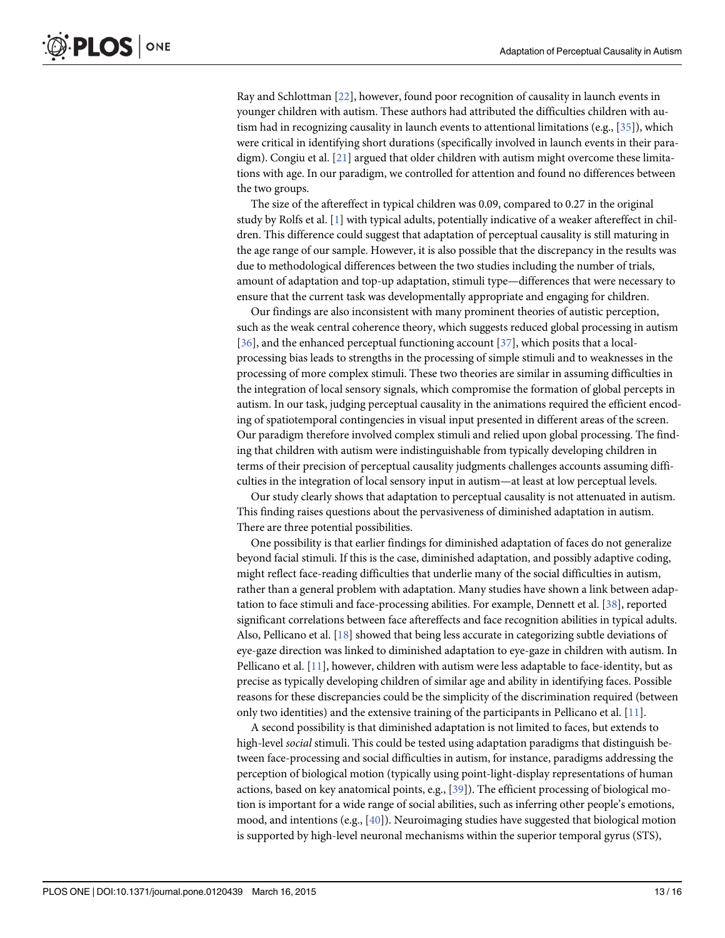<span id="page-12-0"></span>Ray and Schlottman [[22](#page-14-0)], however, found poor recognition of causality in launch events in younger children with autism. These authors had attributed the difficulties children with autism had in recognizing causality in launch events to attentional limitations (e.g., [[35](#page-15-0)]), which were critical in identifying short durations (specifically involved in launch events in their paradigm). Congiu et al. [\[21\]](#page-14-0) argued that older children with autism might overcome these limitations with age. In our paradigm, we controlled for attention and found no differences between the two groups.

The size of the aftereffect in typical children was 0.09, compared to 0.27 in the original study by Rolfs et al. [\[1](#page-13-0)] with typical adults, potentially indicative of a weaker aftereffect in children. This difference could suggest that adaptation of perceptual causality is still maturing in the age range of our sample. However, it is also possible that the discrepancy in the results was due to methodological differences between the two studies including the number of trials, amount of adaptation and top-up adaptation, stimuli type—differences that were necessary to ensure that the current task was developmentally appropriate and engaging for children.

Our findings are also inconsistent with many prominent theories of autistic perception, such as the weak central coherence theory, which suggests reduced global processing in autism [\[36](#page-15-0)], and the enhanced perceptual functioning account [[37](#page-15-0)], which posits that a localprocessing bias leads to strengths in the processing of simple stimuli and to weaknesses in the processing of more complex stimuli. These two theories are similar in assuming difficulties in the integration of local sensory signals, which compromise the formation of global percepts in autism. In our task, judging perceptual causality in the animations required the efficient encoding of spatiotemporal contingencies in visual input presented in different areas of the screen. Our paradigm therefore involved complex stimuli and relied upon global processing. The finding that children with autism were indistinguishable from typically developing children in terms of their precision of perceptual causality judgments challenges accounts assuming difficulties in the integration of local sensory input in autism—at least at low perceptual levels.

Our study clearly shows that adaptation to perceptual causality is not attenuated in autism. This finding raises questions about the pervasiveness of diminished adaptation in autism. There are three potential possibilities.

One possibility is that earlier findings for diminished adaptation of faces do not generalize beyond facial stimuli. If this is the case, diminished adaptation, and possibly adaptive coding, might reflect face-reading difficulties that underlie many of the social difficulties in autism, rather than a general problem with adaptation. Many studies have shown a link between adaptation to face stimuli and face-processing abilities. For example, Dennett et al. [[38](#page-15-0)], reported significant correlations between face aftereffects and face recognition abilities in typical adults. Also, Pellicano et al. [\[18\]](#page-14-0) showed that being less accurate in categorizing subtle deviations of eye-gaze direction was linked to diminished adaptation to eye-gaze in children with autism. In Pellicano et al. [[11](#page-14-0)], however, children with autism were less adaptable to face-identity, but as precise as typically developing children of similar age and ability in identifying faces. Possible reasons for these discrepancies could be the simplicity of the discrimination required (between only two identities) and the extensive training of the participants in Pellicano et al. [[11](#page-14-0)].

A second possibility is that diminished adaptation is not limited to faces, but extends to high-level social stimuli. This could be tested using adaptation paradigms that distinguish between face-processing and social difficulties in autism, for instance, paradigms addressing the perception of biological motion (typically using point-light-display representations of human actions, based on key anatomical points, e.g., [\[39\]](#page-15-0)). The efficient processing of biological motion is important for a wide range of social abilities, such as inferring other people's emotions, mood, and intentions (e.g., [[40\]](#page-15-0)). Neuroimaging studies have suggested that biological motion is supported by high-level neuronal mechanisms within the superior temporal gyrus (STS),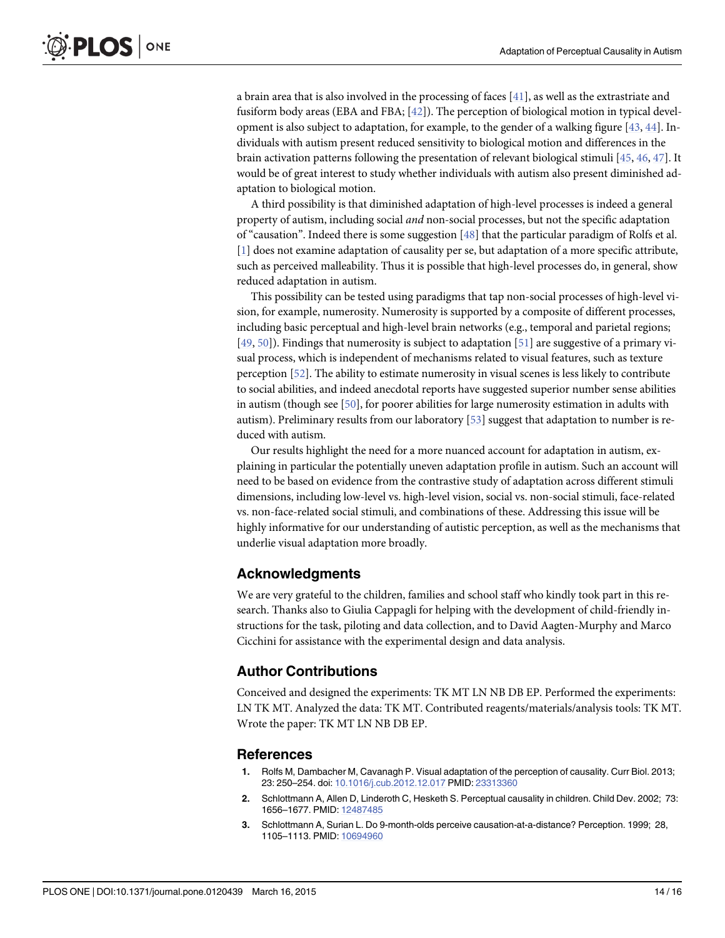<span id="page-13-0"></span>a brain area that is also involved in the processing of faces [\[41\]](#page-15-0), as well as the extrastriate and fusiform body areas (EBA and FBA;  $[42]$  $[42]$  $[42]$ ). The perception of biological motion in typical devel-opment is also subject to adaptation, for example, to the gender of a walking figure [\[43,](#page-15-0) [44\]](#page-15-0). Individuals with autism present reduced sensitivity to biological motion and differences in the brain activation patterns following the presentation of relevant biological stimuli [[45](#page-15-0), [46](#page-15-0), [47](#page-15-0)]. It would be of great interest to study whether individuals with autism also present diminished adaptation to biological motion.

A third possibility is that diminished adaptation of high-level processes is indeed a general property of autism, including social and non-social processes, but not the specific adaptation of "causation". Indeed there is some suggestion [[48](#page-15-0)] that the particular paradigm of Rolfs et al. [1] does not examine adaptation of causality per se, but adaptation of a more specific attribute, such as perceived malleability. Thus it is possible that high-level processes do, in general, show reduced adaptation in autism.

This possibility can be tested using paradigms that tap non-social processes of high-level vision, for example, numerosity. Numerosity is supported by a composite of different processes, including basic perceptual and high-level brain networks (e.g., temporal and parietal regions; [\[49](#page-15-0), [50](#page-15-0)]). Findings that numerosity is subject to adaptation [[51](#page-15-0)] are suggestive of a primary visual process, which is independent of mechanisms related to visual features, such as texture perception [\[52\]](#page-15-0). The ability to estimate numerosity in visual scenes is less likely to contribute to social abilities, and indeed anecdotal reports have suggested superior number sense abilities in autism (though see [\[50\]](#page-15-0), for poorer abilities for large numerosity estimation in adults with autism). Preliminary results from our laboratory  $[53]$  suggest that adaptation to number is reduced with autism.

Our results highlight the need for a more nuanced account for adaptation in autism, explaining in particular the potentially uneven adaptation profile in autism. Such an account will need to be based on evidence from the contrastive study of adaptation across different stimuli dimensions, including low-level vs. high-level vision, social vs. non-social stimuli, face-related vs. non-face-related social stimuli, and combinations of these. Addressing this issue will be highly informative for our understanding of autistic perception, as well as the mechanisms that underlie visual adaptation more broadly.

#### Acknowledgments

We are very grateful to the children, families and school staff who kindly took part in this research. Thanks also to Giulia Cappagli for helping with the development of child-friendly instructions for the task, piloting and data collection, and to David Aagten-Murphy and Marco Cicchini for assistance with the experimental design and data analysis.

#### Author Contributions

Conceived and designed the experiments: TK MT LN NB DB EP. Performed the experiments: LN TK MT. Analyzed the data: TK MT. Contributed reagents/materials/analysis tools: TK MT. Wrote the paper: TK MT LN NB DB EP.

#### **References**

- [1.](#page-1-0) Rolfs M, Dambacher M, Cavanagh P. Visual adaptation of the perception of causality. Curr Biol. 2013; 23: 250–254. doi: [10.1016/j.cub.2012.12.017](http://dx.doi.org/10.1016/j.cub.2012.12.017) PMID: [23313360](http://www.ncbi.nlm.nih.gov/pubmed/23313360)
- [2.](#page-1-0) Schlottmann A, Allen D, Linderoth C, Hesketh S. Perceptual causality in children. Child Dev. 2002; 73: 1656–1677. PMID: [12487485](http://www.ncbi.nlm.nih.gov/pubmed/12487485)
- [3.](#page-1-0) Schlottmann A, Surian L. Do 9-month-olds perceive causation-at-a-distance? Perception. 1999; 28, 1105–1113. PMID: [10694960](http://www.ncbi.nlm.nih.gov/pubmed/10694960)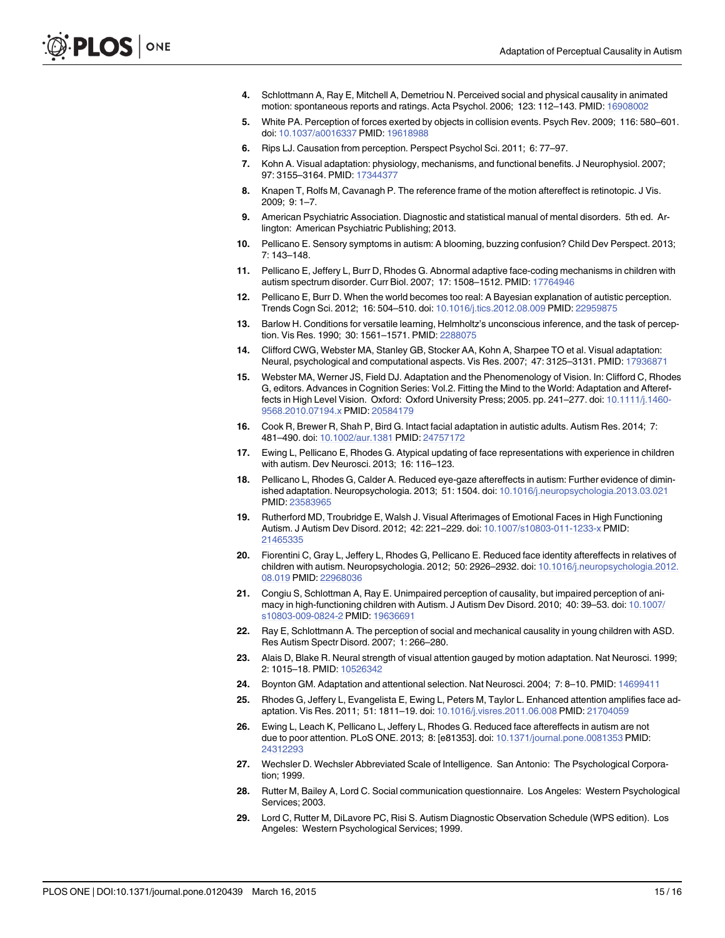- <span id="page-14-0"></span>[4.](#page-1-0) Schlottmann A, Ray E, Mitchell A, Demetriou N. Perceived social and physical causality in animated motion: spontaneous reports and ratings. Acta Psychol. 2006; 123: 112–143. PMID: [16908002](http://www.ncbi.nlm.nih.gov/pubmed/16908002)
- [5.](#page-1-0) White PA. Perception of forces exerted by objects in collision events. Psych Rev. 2009; 116: 580–601. doi: [10.1037/a0016337](http://dx.doi.org/10.1037/a0016337) PMID: [19618988](http://www.ncbi.nlm.nih.gov/pubmed/19618988)
- [6.](#page-1-0) Rips LJ. Causation from perception. Perspect Psychol Sci. 2011; 6: 77–97.
- [7.](#page-1-0) Kohn A. Visual adaptation: physiology, mechanisms, and functional benefits. J Neurophysiol. 2007; 97: 3155–3164. PMID: [17344377](http://www.ncbi.nlm.nih.gov/pubmed/17344377)
- [8.](#page-1-0) Knapen T, Rolfs M, Cavanagh P. The reference frame of the motion aftereffect is retinotopic. J Vis. 2009; 9: 1–7.
- [9.](#page-1-0) American Psychiatric Association. Diagnostic and statistical manual of mental disorders. 5th ed. Arlington: American Psychiatric Publishing; 2013.
- [10.](#page-1-0) Pellicano E. Sensory symptoms in autism: A blooming, buzzing confusion? Child Dev Perspect. 2013; 7: 143–148.
- [11.](#page-1-0) Pellicano E, Jeffery L, Burr D, Rhodes G. Abnormal adaptive face-coding mechanisms in children with autism spectrum disorder. Curr Biol. 2007; 17: 1508–1512. PMID: [17764946](http://www.ncbi.nlm.nih.gov/pubmed/17764946)
- [12.](#page-1-0) Pellicano E, Burr D. When the world becomes too real: A Bayesian explanation of autistic perception. Trends Cogn Sci. 2012; 16: 504–510. doi: [10.1016/j.tics.2012.08.009](http://dx.doi.org/10.1016/j.tics.2012.08.009) PMID: [22959875](http://www.ncbi.nlm.nih.gov/pubmed/22959875)
- [13.](#page-1-0) Barlow H. Conditions for versatile learning, Helmholtz's unconscious inference, and the task of perception. Vis Res. 1990; 30: 1561–1571. PMID: [2288075](http://www.ncbi.nlm.nih.gov/pubmed/2288075)
- [14.](#page-1-0) Clifford CWG, Webster MA, Stanley GB, Stocker AA, Kohn A, Sharpee TO et al. Visual adaptation: Neural, psychological and computational aspects. Vis Res. 2007; 47: 3125–3131. PMID: [17936871](http://www.ncbi.nlm.nih.gov/pubmed/17936871)
- [15.](#page-1-0) Webster MA, Werner JS, Field DJ. Adaptation and the Phenomenology of Vision. In: Clifford C, Rhodes G, editors. Advances in Cognition Series: Vol.2. Fitting the Mind to the World: Adaptation and Aftereffects in High Level Vision. Oxford: Oxford University Press; 2005. pp. 241–277. doi: [10.1111/j.1460-](http://dx.doi.org/10.1111/j.1460-9568.2010.07194.x) [9568.2010.07194.x](http://dx.doi.org/10.1111/j.1460-9568.2010.07194.x) PMID: [20584179](http://www.ncbi.nlm.nih.gov/pubmed/20584179)
- [16.](#page-1-0) Cook R, Brewer R, Shah P, Bird G. Intact facial adaptation in autistic adults. Autism Res. 2014; 7: 481–490. doi: [10.1002/aur.1381](http://dx.doi.org/10.1002/aur.1381) PMID: [24757172](http://www.ncbi.nlm.nih.gov/pubmed/24757172)
- [17.](#page-1-0) Ewing L, Pellicano E, Rhodes G. Atypical updating of face representations with experience in children with autism. Dev Neurosci. 2013; 16: 116–123.
- [18.](#page-2-0) Pellicano L, Rhodes G, Calder A. Reduced eye-gaze aftereffects in autism: Further evidence of diminished adaptation. Neuropsychologia. 2013; 51: 1504. doi: [10.1016/j.neuropsychologia.2013.03.021](http://dx.doi.org/10.1016/j.neuropsychologia.2013.03.021) PMID: [23583965](http://www.ncbi.nlm.nih.gov/pubmed/23583965)
- [19.](#page-2-0) Rutherford MD, Troubridge E, Walsh J. Visual Afterimages of Emotional Faces in High Functioning Autism. J Autism Dev Disord. 2012; 42: 221–229. doi: [10.1007/s10803-011-1233-x](http://dx.doi.org/10.1007/s10803-011-1233-x) PMID: [21465335](http://www.ncbi.nlm.nih.gov/pubmed/21465335)
- [20.](#page-2-0) Fiorentini C, Gray L, Jeffery L, Rhodes G, Pellicano E. Reduced face identity aftereffects in relatives of children with autism. Neuropsychologia. 2012; 50: 2926–2932. doi: [10.1016/j.neuropsychologia.2012.](http://dx.doi.org/10.1016/j.neuropsychologia.2012.08.019) [08.019](http://dx.doi.org/10.1016/j.neuropsychologia.2012.08.019) PMID: [22968036](http://www.ncbi.nlm.nih.gov/pubmed/22968036)
- [21.](#page-2-0) Congiu S, Schlottman A, Ray E. Unimpaired perception of causality, but impaired perception of animacy in high-functioning children with Autism. J Autism Dev Disord. 2010; 40: 39–53. doi: [10.1007/](http://dx.doi.org/10.1007/s10803-009-0824-2) [s10803-009-0824-2](http://dx.doi.org/10.1007/s10803-009-0824-2) PMID: [19636691](http://www.ncbi.nlm.nih.gov/pubmed/19636691)
- [22.](#page-2-0) Ray E, Schlottmann A. The perception of social and mechanical causality in young children with ASD. Res Autism Spectr Disord. 2007; 1: 266–280.
- [23.](#page-2-0) Alais D, Blake R. Neural strength of visual attention gauged by motion adaptation. Nat Neurosci. 1999; 2: 1015–18. PMID: [10526342](http://www.ncbi.nlm.nih.gov/pubmed/10526342)
- [24.](#page-2-0) Boynton GM. Adaptation and attentional selection. Nat Neurosci. 2004; 7: 8-10. PMID: [14699411](http://www.ncbi.nlm.nih.gov/pubmed/14699411)
- [25.](#page-2-0) Rhodes G, Jeffery L, Evangelista E, Ewing L, Peters M, Taylor L. Enhanced attention amplifies face adaptation. Vis Res. 2011; 51: 1811–19. doi: [10.1016/j.visres.2011.06.008](http://dx.doi.org/10.1016/j.visres.2011.06.008) PMID: [21704059](http://www.ncbi.nlm.nih.gov/pubmed/21704059)
- [26.](#page-2-0) Ewing L, Leach K, Pellicano L, Jeffery L, Rhodes G. Reduced face aftereffects in autism are not due to poor attention. PLoS ONE. 2013; 8: [e81353]. doi: [10.1371/journal.pone.0081353](http://dx.doi.org/10.1371/journal.pone.0081353) PMID: [24312293](http://www.ncbi.nlm.nih.gov/pubmed/24312293)
- [27.](#page-3-0) Wechsler D. Wechsler Abbreviated Scale of Intelligence. San Antonio: The Psychological Corporation; 1999.
- [28.](#page-3-0) Rutter M, Bailey A, Lord C. Social communication questionnaire. Los Angeles: Western Psychological Services; 2003.
- [29.](#page-2-0) Lord C, Rutter M, DiLavore PC, Risi S. Autism Diagnostic Observation Schedule (WPS edition). Los Angeles: Western Psychological Services; 1999.